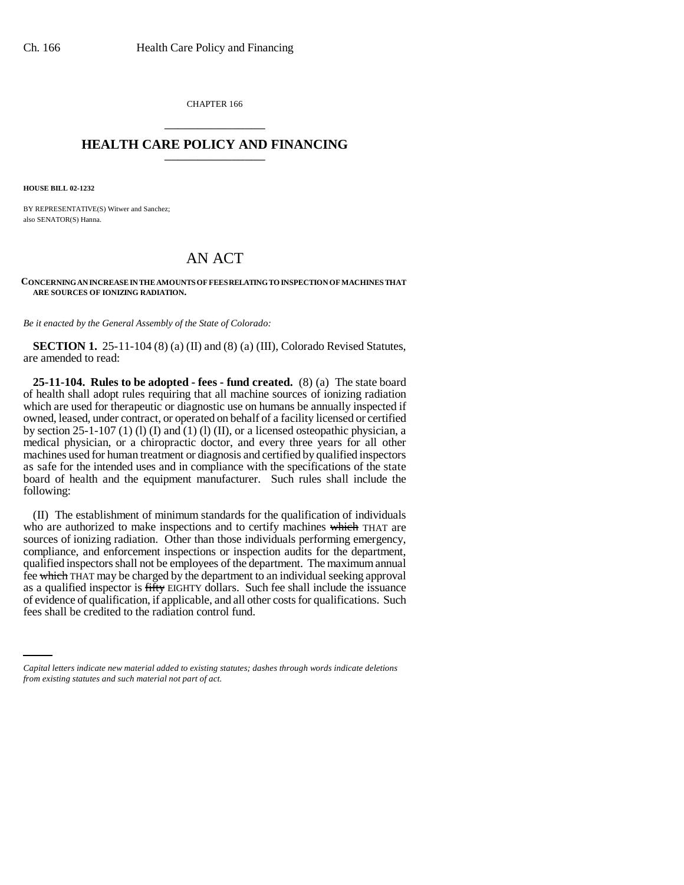CHAPTER 166 \_\_\_\_\_\_\_\_\_\_\_\_\_\_\_

## **HEALTH CARE POLICY AND FINANCING** \_\_\_\_\_\_\_\_\_\_\_\_\_\_\_

**HOUSE BILL 02-1232**

BY REPRESENTATIVE(S) Witwer and Sanchez; also SENATOR(S) Hanna.

## AN ACT

**CONCERNING AN INCREASE IN THE AMOUNTS OF FEES RELATING TO INSPECTION OF MACHINES THAT ARE SOURCES OF IONIZING RADIATION.**

*Be it enacted by the General Assembly of the State of Colorado:*

**SECTION 1.** 25-11-104 (8) (a) (II) and (8) (a) (III), Colorado Revised Statutes, are amended to read:

**25-11-104. Rules to be adopted - fees - fund created.** (8) (a) The state board of health shall adopt rules requiring that all machine sources of ionizing radiation which are used for therapeutic or diagnostic use on humans be annually inspected if owned, leased, under contract, or operated on behalf of a facility licensed or certified by section 25-1-107 (1) (1) (I) and (1) (I) (II), or a licensed osteopathic physician, a medical physician, or a chiropractic doctor, and every three years for all other machines used for human treatment or diagnosis and certified by qualified inspectors as safe for the intended uses and in compliance with the specifications of the state board of health and the equipment manufacturer. Such rules shall include the following:

of evidence of qualification, if applicable, and all other costs for qualifications. Such (II) The establishment of minimum standards for the qualification of individuals who are authorized to make inspections and to certify machines which THAT are sources of ionizing radiation. Other than those individuals performing emergency, compliance, and enforcement inspections or inspection audits for the department, qualified inspectors shall not be employees of the department. The maximum annual fee which THAT may be charged by the department to an individual seeking approval as a qualified inspector is fifty EIGHTY dollars. Such fee shall include the issuance fees shall be credited to the radiation control fund.

*Capital letters indicate new material added to existing statutes; dashes through words indicate deletions from existing statutes and such material not part of act.*